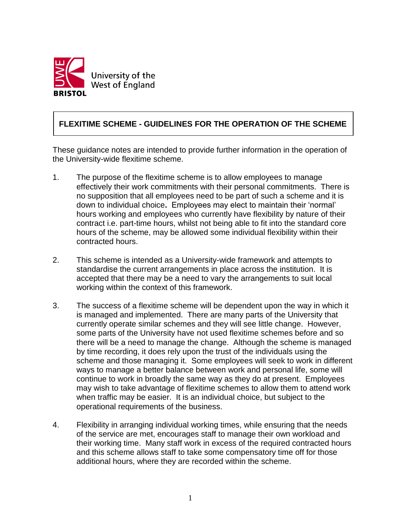

## **FLEXITIME SCHEME - GUIDELINES FOR THE OPERATION OF THE SCHEME**

These guidance notes are intended to provide further information in the operation of the University-wide flexitime scheme.

- 1. The purpose of the flexitime scheme is to allow employees to manage effectively their work commitments with their personal commitments. There is no supposition that all employees need to be part of such a scheme and it is down to individual choice**.** Employees may elect to maintain their 'normal' hours working and employees who currently have flexibility by nature of their contract i.e. part-time hours, whilst not being able to fit into the standard core hours of the scheme, may be allowed some individual flexibility within their contracted hours.
- 2. This scheme is intended as a University-wide framework and attempts to standardise the current arrangements in place across the institution. It is accepted that there may be a need to vary the arrangements to suit local working within the context of this framework.
- 3. The success of a flexitime scheme will be dependent upon the way in which it is managed and implemented. There are many parts of the University that currently operate similar schemes and they will see little change. However, some parts of the University have not used flexitime schemes before and so there will be a need to manage the change. Although the scheme is managed by time recording, it does rely upon the trust of the individuals using the scheme and those managing it. Some employees will seek to work in different ways to manage a better balance between work and personal life, some will continue to work in broadly the same way as they do at present. Employees may wish to take advantage of flexitime schemes to allow them to attend work when traffic may be easier. It is an individual choice, but subject to the operational requirements of the business.
- 4. Flexibility in arranging individual working times, while ensuring that the needs of the service are met, encourages staff to manage their own workload and their working time. Many staff work in excess of the required contracted hours and this scheme allows staff to take some compensatory time off for those additional hours, where they are recorded within the scheme.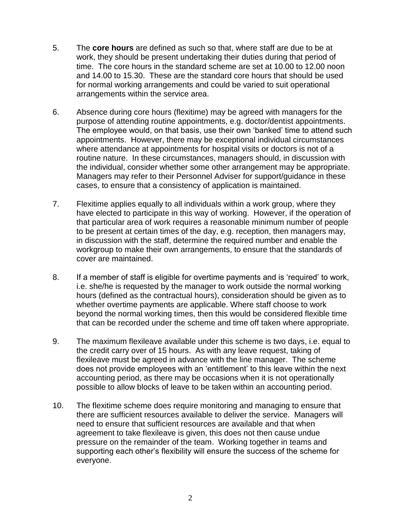- 5. The **core hours** are defined as such so that, where staff are due to be at work, they should be present undertaking their duties during that period of time. The core hours in the standard scheme are set at 10.00 to 12.00 noon and 14.00 to 15.30. These are the standard core hours that should be used for normal working arrangements and could be varied to suit operational arrangements within the service area.
- 6. Absence during core hours (flexitime) may be agreed with managers for the purpose of attending routine appointments, e.g. doctor/dentist appointments. The employee would, on that basis, use their own 'banked' time to attend such appointments. However, there may be exceptional individual circumstances where attendance at appointments for hospital visits or doctors is not of a routine nature. In these circumstances, managers should, in discussion with the individual, consider whether some other arrangement may be appropriate. Managers may refer to their Personnel Adviser for support/guidance in these cases, to ensure that a consistency of application is maintained.
- 7. Flexitime applies equally to all individuals within a work group, where they have elected to participate in this way of working. However, if the operation of that particular area of work requires a reasonable minimum number of people to be present at certain times of the day, e.g. reception, then managers may, in discussion with the staff, determine the required number and enable the workgroup to make their own arrangements, to ensure that the standards of cover are maintained.
- 8. If a member of staff is eligible for overtime payments and is 'required' to work, i.e. she/he is requested by the manager to work outside the normal working hours (defined as the contractual hours), consideration should be given as to whether overtime payments are applicable. Where staff choose to work beyond the normal working times, then this would be considered flexible time that can be recorded under the scheme and time off taken where appropriate.
- 9. The maximum flexileave available under this scheme is two days, i.e. equal to the credit carry over of 15 hours. As with any leave request, taking of flexileave must be agreed in advance with the line manager. The scheme does not provide employees with an 'entitlement' to this leave within the next accounting period, as there may be occasions when it is not operationally possible to allow blocks of leave to be taken within an accounting period.
- 10. The flexitime scheme does require monitoring and managing to ensure that there are sufficient resources available to deliver the service. Managers will need to ensure that sufficient resources are available and that when agreement to take flexileave is given, this does not then cause undue pressure on the remainder of the team. Working together in teams and supporting each other's flexibility will ensure the success of the scheme for everyone.